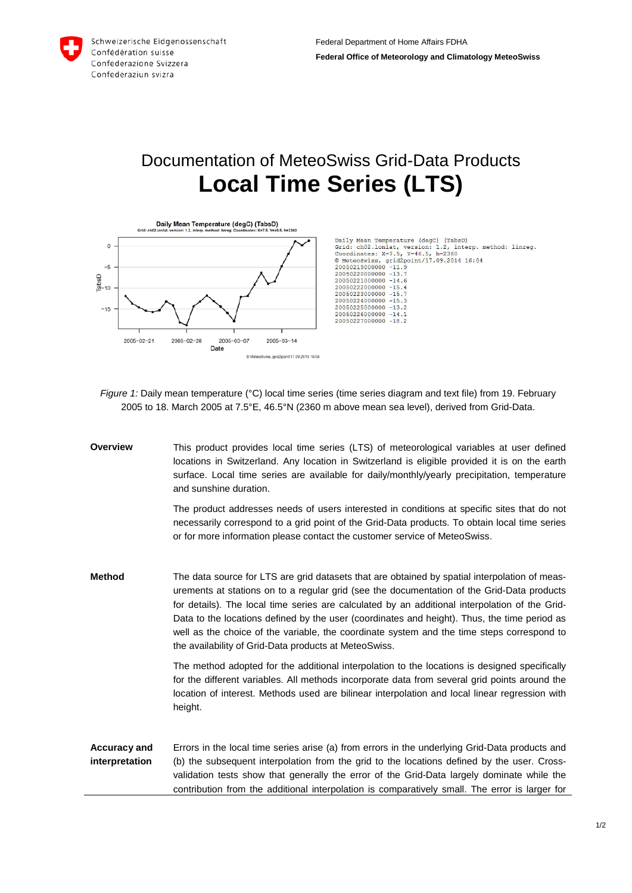

## Documentation of MeteoSwiss Grid-Data Products **Local Time Series (LTS)**



Daily Mean Temperature (degC) (TabsD)<br>Grid: chO2.lonlat, version: 1.2, interp. method: linreg.<br>Coordinates: X=7.5, Y=46.5, h=2360<br>© MeteoSwiss, grid2point/17.09.2014 16:04  $20050219000000 -11.9$ <br>  $20050220000000 -13.7$ <br>  $20050221000000 -14.6$ <br>  $20050222000000 -15.4$  $20050223000000 - 15.$ 20050224000000  $-15.3$ 20050225000000 -13.2 20050226000000 -14.1 20050227000000 -18.2

*Figure 1:* Daily mean temperature (°C) local time series (time series diagram and text file) from 19. February 2005 to 18. March 2005 at 7.5°E, 46.5°N (2360 m above mean sea level), derived from Grid-Data.

**Overview** This product provides local time series (LTS) of meteorological variables at user defined locations in Switzerland. Any location in Switzerland is eligible provided it is on the earth surface. Local time series are available for daily/monthly/yearly precipitation, temperature and sunshine duration. The product addresses needs of users interested in conditions at specific sites that do not necessarily correspond to a grid point of the Grid-Data products. To obtain local time series or for more information please contact the customer service of MeteoSwiss. **Method** The data source for LTS are grid datasets that are obtained by spatial interpolation of measurements at stations on to a regular grid (see the documentation of the Grid-Data products for details). The local time series are calculated by an additional interpolation of the Grid-Data to the locations defined by the user (coordinates and height). Thus, the time period as well as the choice of the variable, the coordinate system and the time steps correspond to the availability of Grid-Data products at MeteoSwiss. The method adopted for the additional interpolation to the locations is designed specifically for the different variables. All methods incorporate data from several grid points around the location of interest. Methods used are bilinear interpolation and local linear regression with height. **Accuracy and interpretation** Errors in the local time series arise (a) from errors in the underlying Grid-Data products and (b) the subsequent interpolation from the grid to the locations defined by the user. Crossvalidation tests show that generally the error of the Grid-Data largely dominate while the contribution from the additional interpolation is comparatively small. The error is larger for